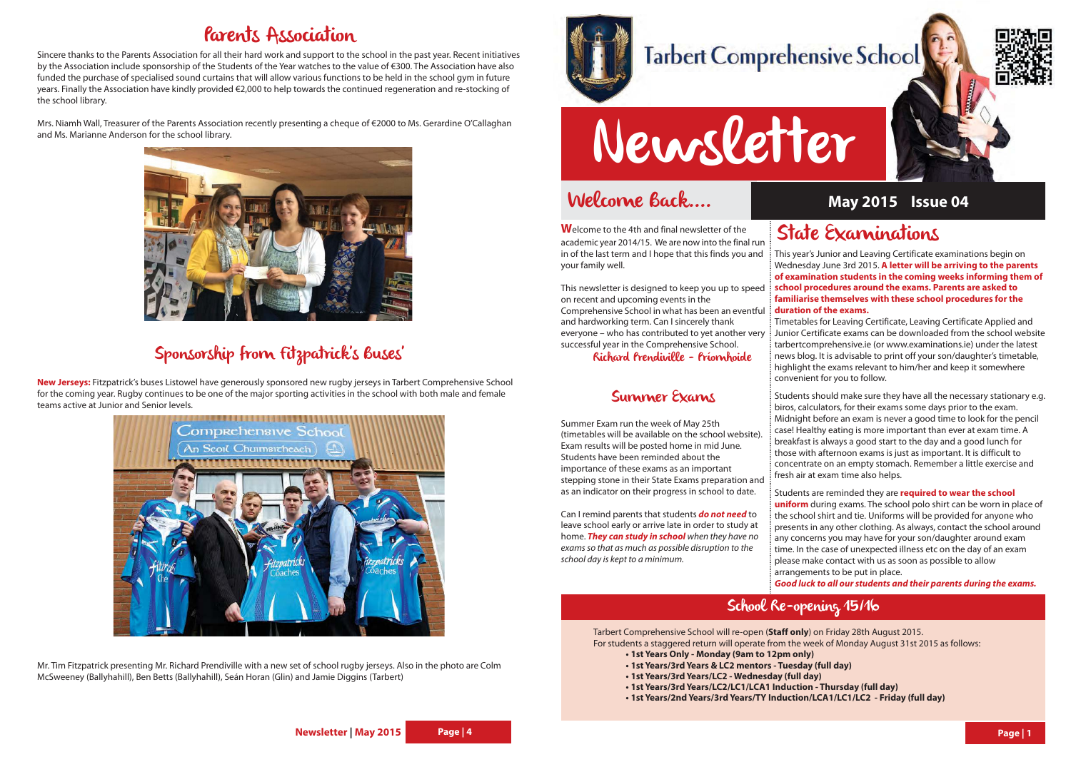## Welcome Back....

# Newsletter

**W**elcome to the 4th and final newsletter of the academic year 2014/15. We are now into the final run in of the last term and I hope that this finds you and your family well.

This newsletter is designed to keep you up to speed on recent and upcoming events in the Comprehensive School in what has been an eventful and hardworking term. Can I sincerely thank everyone – who has contributed to yet another very successful year in the Comprehensive School.

Richard Prendiville - Príomhoide

#### Summer Exams

Summer Exam run the week of May 25th (timetables will be available on the school website). Exam results will be posted home in mid June. Students have been reminded about the importance of these exams as an important stepping stone in their State Exams preparation and as an indicator on their progress in school to date.

Can I remind parents that students **do not need** to leave school early or arrive late in order to study at home. **They can study in school** when they have no exams so that as much as possible disruption to the school day is kept to a minimum.

### State Examinations

This year's Junior and Leaving Certificate examinations begin on Wednesday June 3rd 2015. **A letter will be arriving to the parents of examination students in the coming weeks informing them of school procedures around the exams. Parents are asked to familiarise themselves with these school procedures for the duration of the exams.** 

Timetables for Leaving Certificate, Leaving Certificate Applied and Junior Certificate exams can be downloaded from the school website tarbertcomprehensive.ie (or www.examinations.ie) under the latest news blog. It is advisable to print off your son/daughter's timetable, highlight the exams relevant to him/her and keep it somewhere convenient for you to follow.

Students should make sure they have all the necessary stationary e.g. biros, calculators, for their exams some days prior to the exam. Midnight before an exam is never a good time to look for the pencil case! Healthy eating is more important than ever at exam time. A breakfast is always a good start to the day and a good lunch for those with afternoon exams is just as important. It is difficult to concentrate on an empty stomach. Remember a little exercise and fresh air at exam time also helps.

Students are reminded they are **required to wear the school uniform** during exams. The school polo shirt can be worn in place of the school shirt and tie. Uniforms will be provided for anyone who presents in any other clothing. As always, contact the school around any concerns you may have for your son/daughter around exam time. In the case of unexpected illness etc on the day of an exam please make contact with us as soon as possible to allow arrangements to be put in place.

**Good luck to all our students and their parents during the exams.** 

#### **May 2015 Issue 04**

Tarbert Comprehensive School will re-open (**Staff only**) on Friday 28th August 2015. For students a staggered return will operate from the week of Monday August 31st 2015 as follows: **• 1st Years Only - Monday (9am to 12pm only) • 1st Years/3rd Years & LC2 mentors - Tuesday (full day) • 1st Years/3rd Years/LC2 - Wednesday (full day) • 1st Years/3rd Years/LC2/LC1/LCA1 Induction - Thursday (full day) • 1st Years/2nd Years/3rd Years/TY Induction/LCA1/LC1/LC2 - Friday (full day)**

- 
- 
- 
- 
- 

#### School Re-opening 15/16







#### Parents Association

Sincere thanks to the Parents Association for all their hard work and support to the school in the past year. Recent initiatives by the Association include sponsorship of the Students of the Year watches to the value of €300. The Association have also funded the purchase of specialised sound curtains that will allow various functions to be held in the school gym in future years. Finally the Association have kindly provided €2,000 to help towards the continued regeneration and re-stocking of the school library.

Mrs. Niamh Wall, Treasurer of the Parents Association recently presenting a cheque of €2000 to Ms. Gerardine O'Callaghan and Ms. Marianne Anderson for the school library.



#### Sponsorship from Fitzpatrick's Buses'

**New Jerseys:** Fitzpatrick's buses Listowel have generously sponsored new rugby jerseys in Tarbert Comprehensive School for the coming year. Rugby continues to be one of the major sporting activities in the school with both male and female teams active at Junior and Senior levels.



Mr. Tim Fitzpatrick presenting Mr. Richard Prendiville with a new set of school rugby jerseys. Also in the photo are Colm McSweeney (Ballyhahill), Ben Betts (Ballyhahill), Seán Horan (Glin) and Jamie Diggins (Tarbert)



# **Tarbert Comprehensive School**